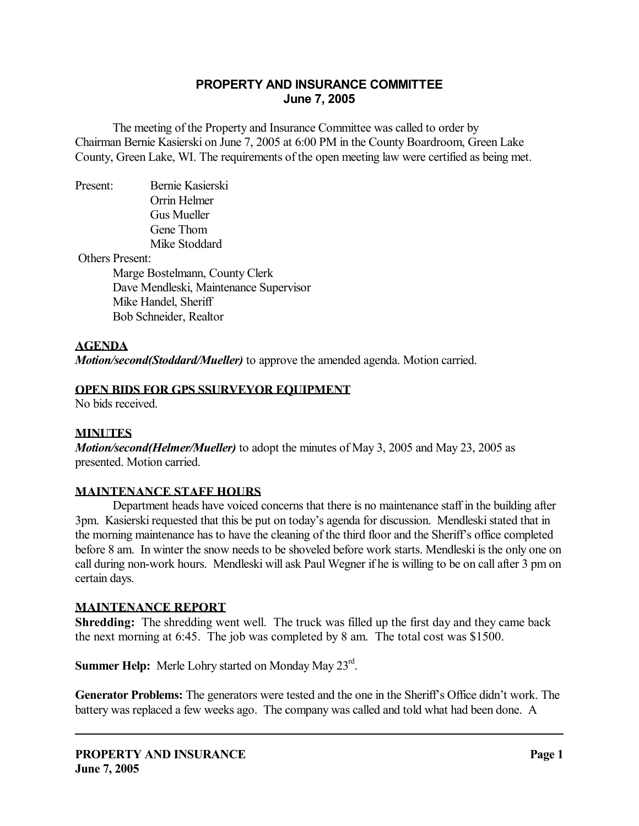# **PROPERTY AND INSURANCE COMMITTEE June 7, 2005**

 The meeting of the Property and Insurance Committee was called to order by Chairman Bernie Kasierski on June 7, 2005 at 6:00 PM in the County Boardroom, Green Lake County, Green Lake, WI. The requirements of the open meeting law were certified as being met.

Present: Bernie Kasierski Orrin Helmer Gus Mueller Gene Thom Mike Stoddard

Others Present:

 Marge Bostelmann, County Clerk Dave Mendleski, Maintenance Supervisor Mike Handel, Sheriff Bob Schneider, Realtor

#### **AGENDA**

*Motion/second(Stoddard/Mueller)* to approve the amended agenda. Motion carried.

#### **OPEN BIDS FOR GPS SSURVEYOR EQUIPMENT**

No bids received.

#### **MINUTES**

*Motion/second(Helmer/Mueller)* to adopt the minutes of May 3, 2005 and May 23, 2005 as presented. Motion carried.

#### **MAINTENANCE STAFF HOURS**

 Department heads have voiced concerns that there is no maintenance staff in the building after 3pm. Kasierski requested that this be put on today's agenda for discussion. Mendleski stated that in the morning maintenance has to have the cleaning of the third floor and the Sheriff's office completed before 8 am. In winter the snow needs to be shoveled before work starts. Mendleski is the only one on call during non-work hours. Mendleski will ask Paul Wegner if he is willing to be on call after 3 pm on certain days.

#### **MAINTENANCE REPORT**

**Shredding:** The shredding went well. The truck was filled up the first day and they came back the next morning at 6:45. The job was completed by 8 am. The total cost was \$1500.

Summer Help: Merle Lohry started on Monday May 23<sup>rd</sup>.

**Generator Problems:** The generators were tested and the one in the Sheriff's Office didn't work. The battery was replaced a few weeks ago. The company was called and told what had been done. A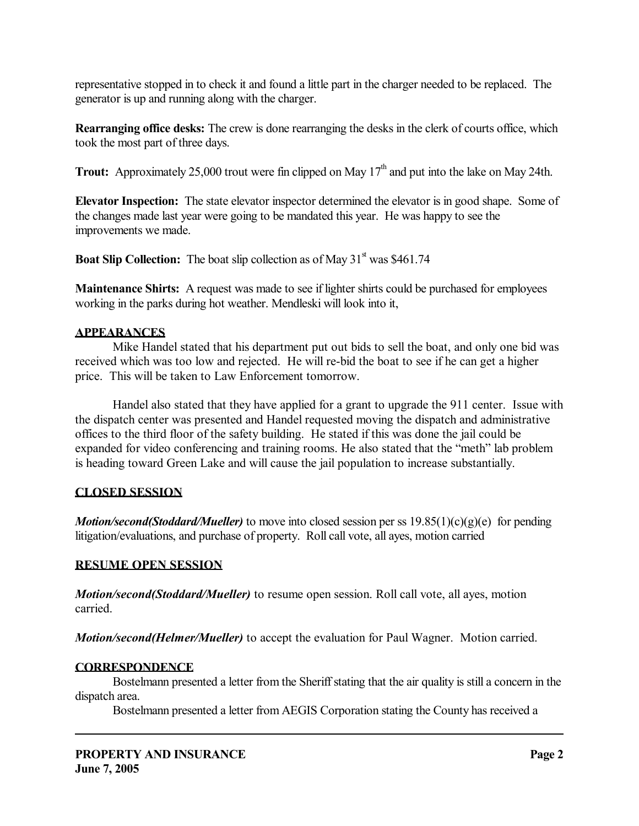representative stopped in to check it and found a little part in the charger needed to be replaced. The generator is up and running along with the charger.

**Rearranging office desks:** The crew is done rearranging the desks in the clerk of courts office, which took the most part of three days.

**Trout:** Approximately 25,000 trout were fin clipped on May  $17<sup>th</sup>$  and put into the lake on May 24th.

**Elevator Inspection:** The state elevator inspector determined the elevator is in good shape. Some of the changes made last year were going to be mandated this year. He was happy to see the improvements we made.

**Boat Slip Collection:** The boat slip collection as of May  $31<sup>st</sup>$  was \$461.74

**Maintenance Shirts:** A request was made to see if lighter shirts could be purchased for employees working in the parks during hot weather. Mendleski will look into it,

## **APPEARANCES**

 Mike Handel stated that his department put out bids to sell the boat, and only one bid was received which was too low and rejected. He will re-bid the boat to see if he can get a higher price. This will be taken to Law Enforcement tomorrow.

 Handel also stated that they have applied for a grant to upgrade the 911 center. Issue with the dispatch center was presented and Handel requested moving the dispatch and administrative offices to the third floor of the safety building. He stated if this was done the jail could be expanded for video conferencing and training rooms. He also stated that the "meth" lab problem is heading toward Green Lake and will cause the jail population to increase substantially.

## **CLOSED SESSION**

*Motion/second(Stoddard/Mueller)* to move into closed session per ss 19.85(1)(c)(g)(e) for pending litigation/evaluations, and purchase of property. Roll call vote, all ayes, motion carried

## **RESUME OPEN SESSION**

*Motion/second(Stoddard/Mueller)* to resume open session. Roll call vote, all ayes, motion carried.

*Motion/second(Helmer/Mueller)* to accept the evaluation for Paul Wagner. Motion carried.

## **CORRESPONDENCE**

 Bostelmann presented a letter from the Sheriff stating that the air quality is still a concern in the dispatch area.

Bostelmann presented a letter from AEGIS Corporation stating the County has received a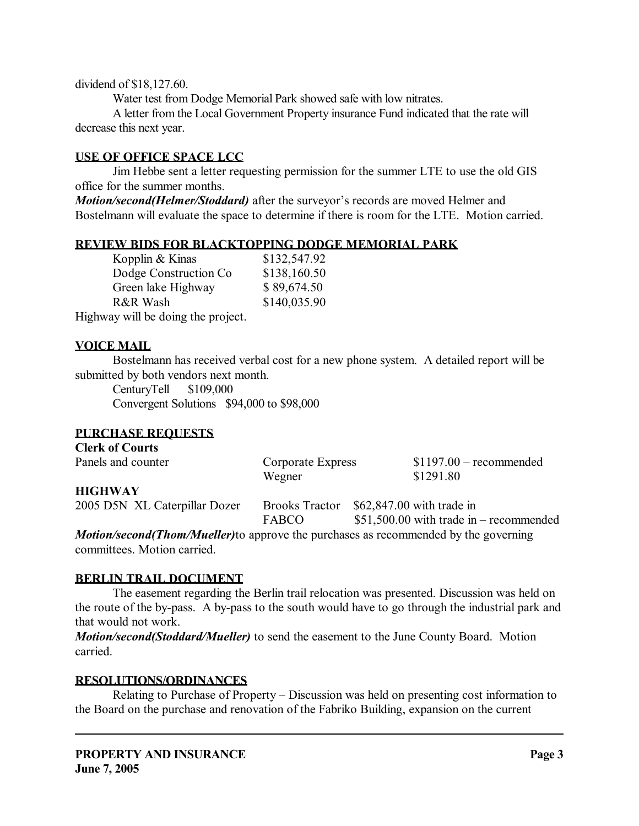dividend of \$18,127.60.

Water test from Dodge Memorial Park showed safe with low nitrates.

 A letter from the Local Government Property insurance Fund indicated that the rate will decrease this next year.

#### **USE OF OFFICE SPACE LCC**

 Jim Hebbe sent a letter requesting permission for the summer LTE to use the old GIS office for the summer months.

*Motion/second(Helmer/Stoddard)* after the surveyor's records are moved Helmer and Bostelmann will evaluate the space to determine if there is room for the LTE. Motion carried.

## **REVIEW BIDS FOR BLACKTOPPING DODGE MEMORIAL PARK**

| Kopplin & Kinas                    | \$132,547.92 |
|------------------------------------|--------------|
| Dodge Construction Co.             | \$138,160.50 |
| Green lake Highway                 | \$89,674.50  |
| R&R Wash                           | \$140,035.90 |
| Highway will be doing the project. |              |

## **VOICE MAIL**

Bostelmann has received verbal cost for a new phone system. A detailed report will be submitted by both vendors next month.

 CenturyTell \$109,000 Convergent Solutions \$94,000 to \$98,000

## **PURCHASE REQUESTS**

| <b>Clerk of Courts</b>        |                                       |                                                                        |
|-------------------------------|---------------------------------------|------------------------------------------------------------------------|
| Panels and counter            | Corporate Express                     | $$1197.00$ – recommended                                               |
|                               | Wegner                                | \$1291.80                                                              |
| <b>HIGHWAY</b>                |                                       |                                                                        |
| 2005 D5N XL Caterpillar Dozer | <b>Brooks Tractor</b><br><b>FABCO</b> | $$62,847.00$ with trade in<br>$$51,500.00$ with trade in – recommended |
|                               |                                       |                                                                        |

*Motion/second(Thom/Mueller)*to approve the purchases as recommended by the governing committees. Motion carried.

#### **BERLIN TRAIL DOCUMENT**

 The easement regarding the Berlin trail relocation was presented. Discussion was held on the route of the by-pass. A by-pass to the south would have to go through the industrial park and that would not work.

*Motion/second(Stoddard/Mueller)* to send the easement to the June County Board. Motion carried.

## **RESOLUTIONS/ORDINANCES**

 Relating to Purchase of Property – Discussion was held on presenting cost information to the Board on the purchase and renovation of the Fabriko Building, expansion on the current